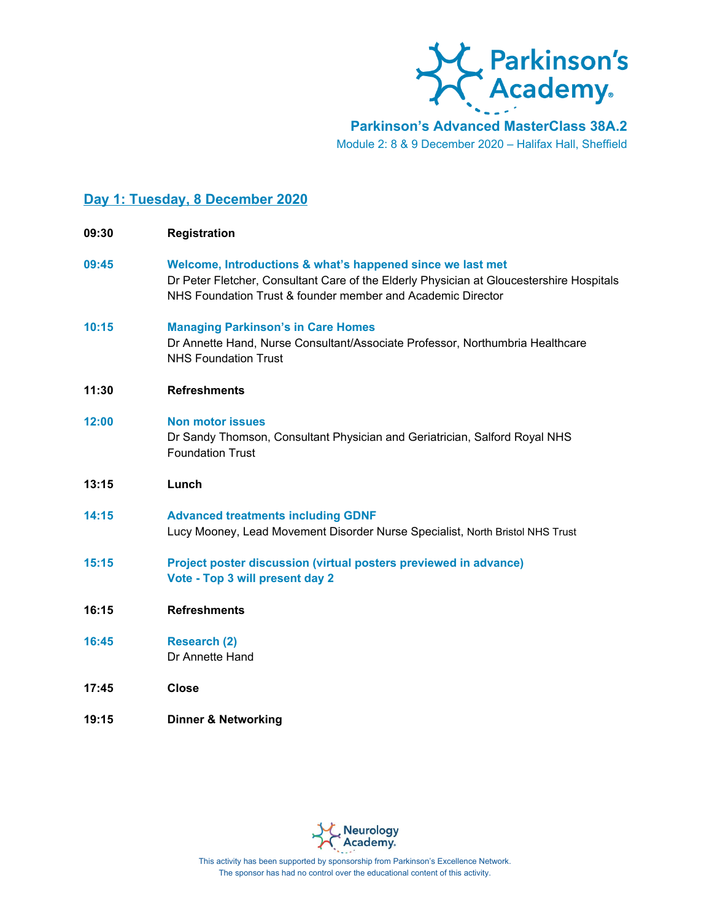

**Parkinson's Advanced MasterClass 38A.2** Module 2: 8 & 9 December 2020 – Halifax Hall, Sheffield

## **Day 1: Tuesday, 8 December 2020**

| 09:30 | <b>Registration</b>                                                                                                                                                                                                   |
|-------|-----------------------------------------------------------------------------------------------------------------------------------------------------------------------------------------------------------------------|
| 09:45 | Welcome, Introductions & what's happened since we last met<br>Dr Peter Fletcher, Consultant Care of the Elderly Physician at Gloucestershire Hospitals<br>NHS Foundation Trust & founder member and Academic Director |
| 10:15 | <b>Managing Parkinson's in Care Homes</b><br>Dr Annette Hand, Nurse Consultant/Associate Professor, Northumbria Healthcare<br><b>NHS Foundation Trust</b>                                                             |
| 11:30 | <b>Refreshments</b>                                                                                                                                                                                                   |
| 12:00 | <b>Non motor issues</b><br>Dr Sandy Thomson, Consultant Physician and Geriatrician, Salford Royal NHS<br><b>Foundation Trust</b>                                                                                      |
| 13:15 | Lunch                                                                                                                                                                                                                 |
| 14:15 | <b>Advanced treatments including GDNF</b><br>Lucy Mooney, Lead Movement Disorder Nurse Specialist, North Bristol NHS Trust                                                                                            |
| 15:15 | Project poster discussion (virtual posters previewed in advance)<br>Vote - Top 3 will present day 2                                                                                                                   |
| 16:15 | <b>Refreshments</b>                                                                                                                                                                                                   |
| 16:45 | Research (2)<br>Dr Annette Hand                                                                                                                                                                                       |
| 17:45 | <b>Close</b>                                                                                                                                                                                                          |
| 19:15 | <b>Dinner &amp; Networking</b>                                                                                                                                                                                        |



This activity has been supported by sponsorship from Parkinson's Excellence Network. The sponsor has had no control over the educational content of this activity.